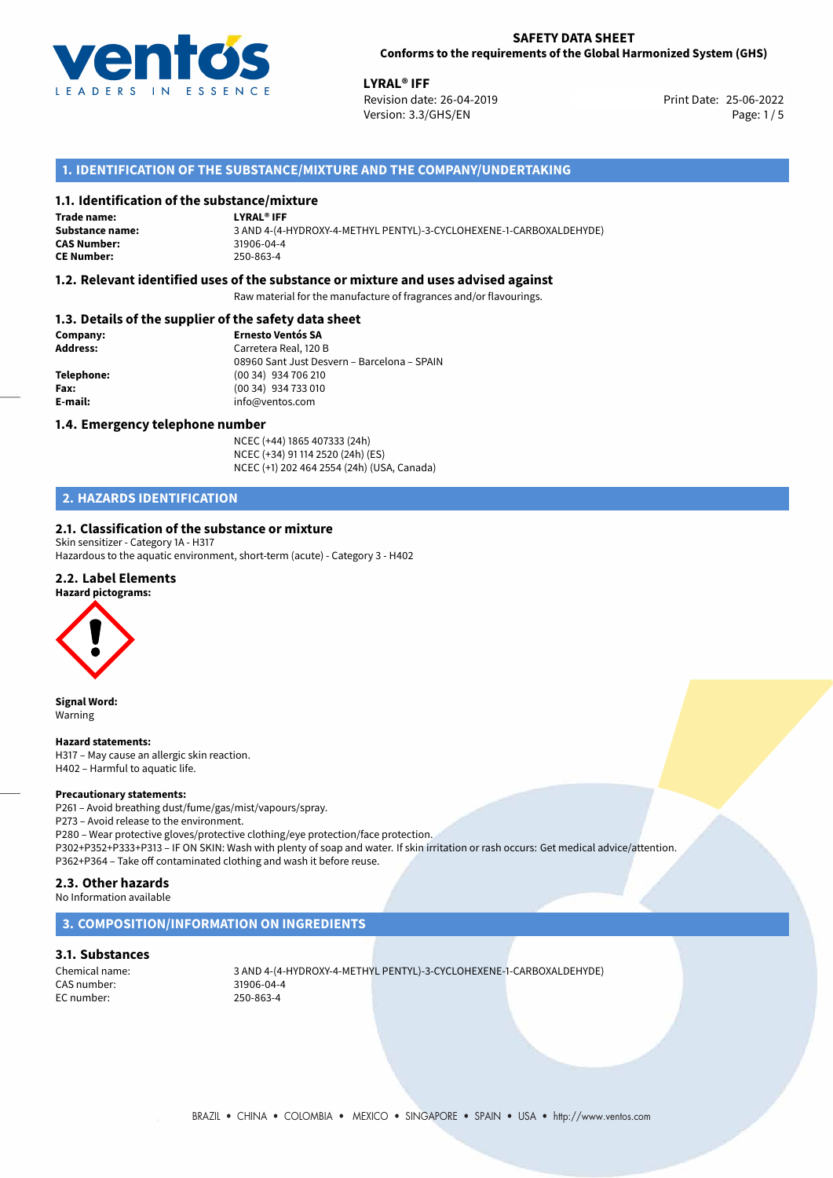

**LYRAL<sup>®</sup> IFF**<br>Revision date: 26-04-2019 **Print Date: 25-06-2022** Version: 3.3/GHS/EN Page: 1/5

## **1. IDENTIFICATION OF THE SUBSTANCE/MIXTURE AND THE COMPANY/UNDERTAKING**

## **1.1. Identification of the substance/mixture**

#### **LYRAL® IFF Trade name:**

**Substance name:** 3 AND 4-(4-HYDROXY-4-METHYL PENTYL)-3-CYCLOHEXENE-1-CARBOXALDEHYDE) **CE Number:** 250-863-4

## **1.2. Relevant identified uses of the substance or mixture and uses advised against**

Raw material for the manufacture of fragrances and/or flavourings.

## **1.3. Details of the supplier of the safety data sheet**

| Company:        | <b>Ernesto Ventós SA</b>                    |
|-----------------|---------------------------------------------|
| <b>Address:</b> | Carretera Real, 120 B                       |
|                 | 08960 Sant Just Desvern - Barcelona - SPAIN |
| Telephone:      | (00 34) 934 706 210                         |
| Fax:            | (00 34) 934 733 010                         |
| E-mail:         | info@ventos.com                             |
|                 |                                             |

### **1.4. Emergency telephone number**

NCEC (+44) 1865 407333 (24h) NCEC (+34) 91 114 2520 (24h) (ES) NCEC (+1) 202 464 2554 (24h) (USA, Canada)

## **2. HAZARDS IDENTIFICATION**

## **2.1. Classification of the substance or mixture**

Skin sensitizer - Category 1A - H317 Hazardous to the aquatic environment, short-term (acute) - Category 3 - H402

### **2.2. Label Elements**

#### **Hazard pictograms:**



**CAS Number:** 

**Signal Word:** Warning

#### **Hazard statements:**

H317 – May cause an allergic skin reaction. H402 – Harmful to aquatic life.

#### **Precautionary statements:**

P261 – Avoid breathing dust/fume/gas/mist/vapours/spray.

P273 – Avoid release to the environment.

P280 – Wear protective gloves/protective clothing/eye protection/face protection. P302+P352+P333+P313 – IF ON SKIN: Wash with plenty of soap and water. If skin irritation or rash occurs: Get medical advice/attention. P362+P364 – Take off contaminated clothing and wash it before reuse.

## **2.3. Other hazards**

No Information available

## **3. COMPOSITION/INFORMATION ON INGREDIENTS**

## **3.1. Substances**

EC number: 250-863-4

Chemical name: 3 AND 4-(4-HYDROXY-4-METHYL PENTYL)-3-CYCLOHEXENE-1-CARBOXALDEHYDE) 31906-04-4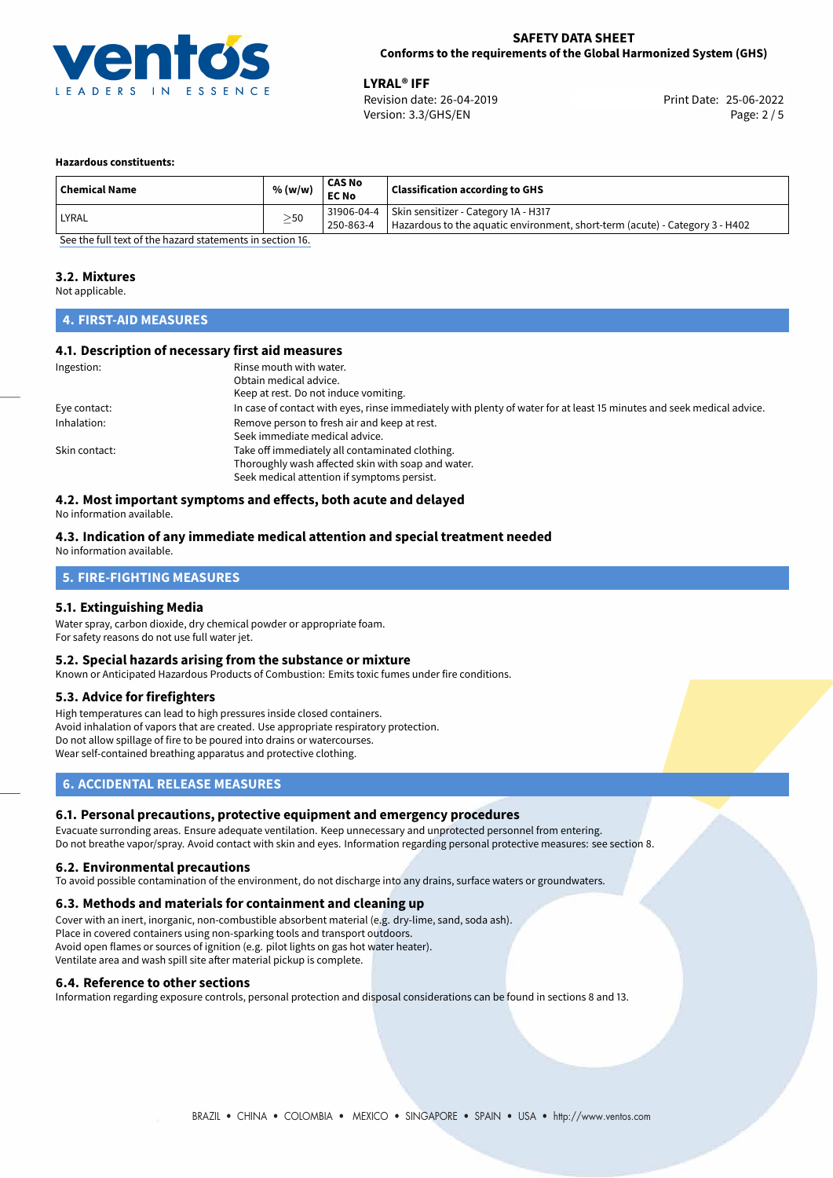

**LYRAL<sup>®</sup> IFF**<br>
Revision date: 26-04-2019 **Print Date: 25-06-2022** Version: 3.3/GHS/EN Page: 2 / 5

### **Hazardous constituents:**

| <b>Chemical Name</b>                                     | % (w/w)   | CAS No<br><b>EC No</b> | <b>Classification according to GHS</b>                                       |  |
|----------------------------------------------------------|-----------|------------------------|------------------------------------------------------------------------------|--|
| LYRAL                                                    | $\geq$ 50 |                        | 31906-04-4 Skin sensitizer - Category 1A - H317                              |  |
|                                                          |           | 250-863-4              | Hazardous to the aquatic environment, short-term (acute) - Category 3 - H402 |  |
| See the full text of the horard statements in section 16 |           |                        |                                                                              |  |

[See the full text of the hazard statements in section 16.](#page-4-0)

## **3.2. Mixtures**

Not applicable.

## **4. FIRST-AID MEASURES**

## **4.1. Description of necessary first aid measures**

| Ingestion:    | Rinse mouth with water.<br>Obtain medical advice.<br>Keep at rest. Do not induce vomiting.                            |
|---------------|-----------------------------------------------------------------------------------------------------------------------|
|               |                                                                                                                       |
| Eye contact:  | In case of contact with eyes, rinse immediately with plenty of water for at least 15 minutes and seek medical advice. |
| Inhalation:   | Remove person to fresh air and keep at rest.                                                                          |
|               | Seek immediate medical advice.                                                                                        |
| Skin contact: | Take off immediately all contaminated clothing.                                                                       |
|               | Thoroughly wash affected skin with soap and water.                                                                    |
|               | Seek medical attention if symptoms persist.                                                                           |

## **4.2. Most important symptoms and effects, both acute and delayed**

No information available.

#### **4.3. Indication of any immediate medical attention and special treatment needed** No information available.

# **5. FIRE-FIGHTING MEASURES**

## **5.1. Extinguishing Media**

Water spray, carbon dioxide, dry chemical powder or appropriate foam. For safety reasons do not use full water jet.

## **5.2. Special hazards arising from the substance or mixture**

Known or Anticipated Hazardous Products of Combustion: Emits toxic fumes under fire conditions.

## **5.3. Advice for firefighters**

High temperatures can lead to high pressures inside closed containers. Avoid inhalation of vapors that are created. Use appropriate respiratory protection. Do not allow spillage of fire to be poured into drains or watercourses. Wear self-contained breathing apparatus and protective clothing.

## **6. ACCIDENTAL RELEASE MEASURES**

## **6.1. Personal precautions, protective equipment and emergency procedures**

Evacuate surronding areas. Ensure adequate ventilation. Keep unnecessary and unprotected personnel from entering. Do not breathe vapor/spray. Avoid contact with skin and eyes. Information regarding personal protective measures: see section 8.

## **6.2. Environmental precautions**

To avoid possible contamination of the environment, do not discharge into any drains, surface waters or groundwaters.

## **6.3. Methods and materials for containment and cleaning up**

Cover with an inert, inorganic, non-combustible absorbent material (e.g. dry-lime, sand, soda ash). Place in covered containers using non-sparking tools and transport outdoors. Avoid open flames or sources of ignition (e.g. pilot lights on gas hot water heater). Ventilate area and wash spill site after material pickup is complete.

## **6.4. Reference to other sections**

Information regarding exposure controls, personal protection and disposal considerations can be found in sections 8 and 13.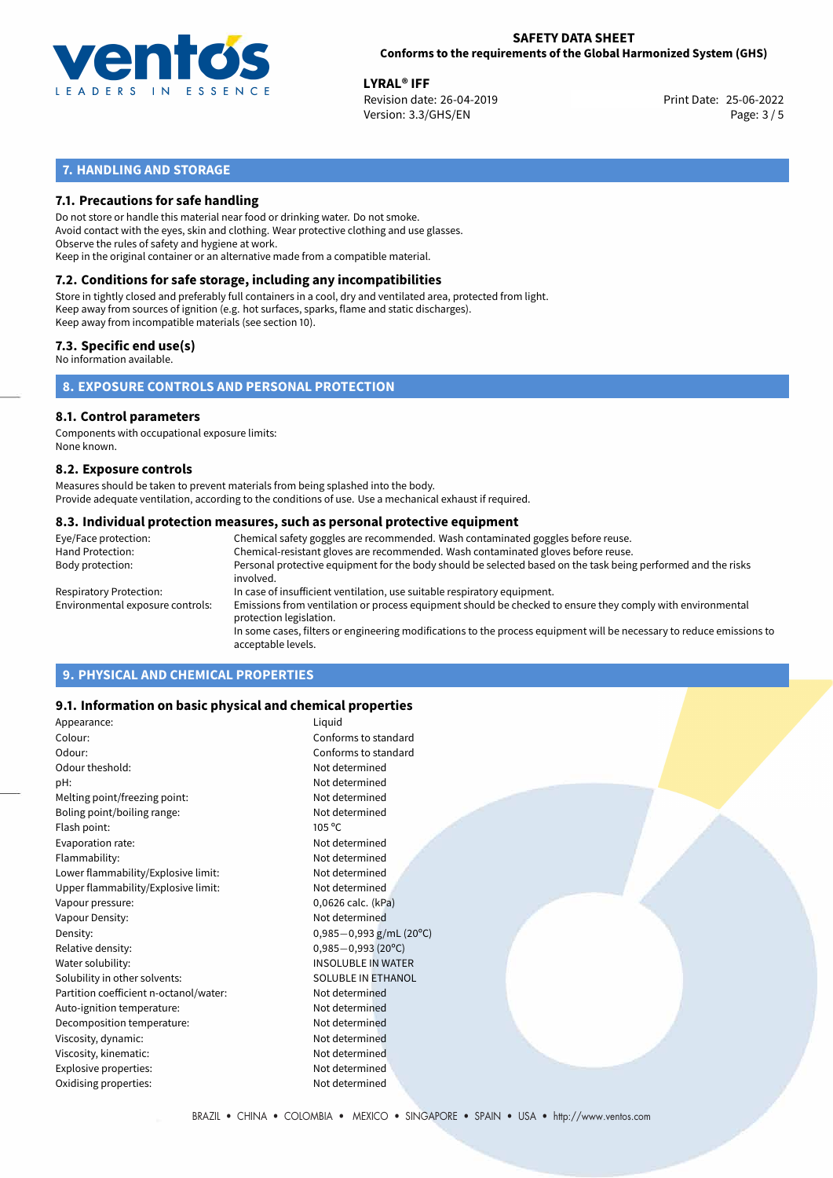

**LYRAL<sup>®</sup> IFF**<br>
Revision date: 26-04-2019 **Print Date: 25-06-2022** Version: 3.3/GHS/EN Page: 3 / 5

## **7. HANDLING AND STORAGE**

## **7.1. Precautions for safe handling**

Do not store or handle this material near food or drinking water. Do not smoke. Avoid contact with the eyes, skin and clothing. Wear protective clothing and use glasses. Observe the rules of safety and hygiene at work. Keep in the original container or an alternative made from a compatible material.

## **7.2. Conditions for safe storage, including any incompatibilities**

Store in tightly closed and preferably full containers in a cool, dry and ventilated area, protected from light. Keep away from sources of ignition (e.g. hot surfaces, sparks, flame and static discharges). Keep away from incompatible materials (see section 10).

## **7.3. Specific end use(s)**

No information available.

**8. EXPOSURE CONTROLS AND PERSONAL PROTECTION**

## **8.1. Control parameters**

Components with occupational exposure limits: None known.

### **8.2. Exposure controls**

Measures should be taken to prevent materials from being splashed into the body. Provide adequate ventilation, according to the conditions of use. Use a mechanical exhaust if required.

### **8.3. Individual protection measures, such as personal protective equipment**

| Eye/Face protection:             | Chemical safety goggles are recommended. Wash contaminated goggles before reuse.                                                            |
|----------------------------------|---------------------------------------------------------------------------------------------------------------------------------------------|
| Hand Protection:                 | Chemical-resistant gloves are recommended. Wash contaminated gloves before reuse.                                                           |
| Body protection:                 | Personal protective equipment for the body should be selected based on the task being performed and the risks<br>involved.                  |
| Respiratory Protection:          | In case of insufficient ventilation, use suitable respiratory equipment.                                                                    |
| Environmental exposure controls: | Emissions from ventilation or process equipment should be checked to ensure they comply with environmental<br>protection legislation.       |
|                                  | In some cases, filters or engineering modifications to the process equipment will be necessary to reduce emissions to<br>acceptable levels. |
|                                  |                                                                                                                                             |

## **9. PHYSICAL AND CHEMICAL PROPERTIES**

## **9.1. Information on basic physical and chemical properties**

| Appearance:                            | Liquid                    |
|----------------------------------------|---------------------------|
| Colour:                                | Conforms to standard      |
| Odour:                                 | Conforms to standard      |
| Odour theshold:                        | Not determined            |
| pH:                                    | Not determined            |
| Melting point/freezing point:          | Not determined            |
| Boling point/boiling range:            | Not determined            |
| Flash point:                           | $105^{\circ}$ C           |
| Evaporation rate:                      | Not determined            |
| Flammability:                          | Not determined            |
| Lower flammability/Explosive limit:    | Not determined            |
| Upper flammability/Explosive limit:    | Not determined            |
| Vapour pressure:                       | 0,0626 calc. (kPa)        |
| Vapour Density:                        | Not determined            |
| Density:                               | $0,985-0,993$ g/mL (20°C) |
| Relative density:                      | $0,985 - 0,993$ (20°C)    |
| Water solubility:                      | <b>INSOLUBLE IN WATER</b> |
| Solubility in other solvents:          | SOLUBLE IN ETHANOL        |
| Partition coefficient n-octanol/water: | Not determined            |
| Auto-ignition temperature:             | Not determined            |
| Decomposition temperature:             | Not determined            |
| Viscosity, dynamic:                    | Not determined            |
| Viscosity, kinematic:                  | Not determined            |
| Explosive properties:                  | Not determined            |
| Oxidising properties:                  | Not determined            |
|                                        |                           |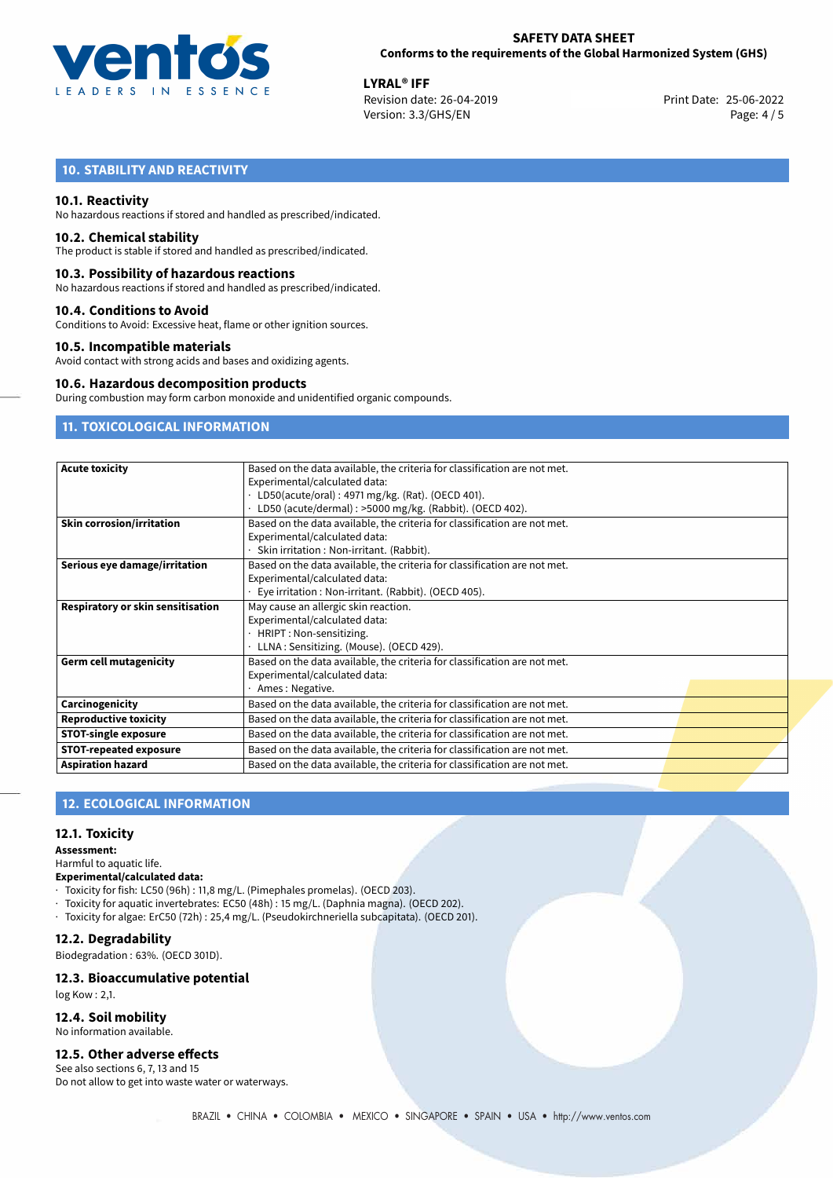

**LYRAL<sup>®</sup> IFF**<br>
Revision date: 26-04-2019 **Print Date: 25-06-2022** Version: 3.3/GHS/EN Page: 4 / 5

## **10. STABILITY AND REACTIVITY**

## **10.1. Reactivity**

No hazardous reactions if stored and handled as prescribed/indicated.

### **10.2. Chemical stability**

The product is stable if stored and handled as prescribed/indicated.

### **10.3. Possibility of hazardous reactions**

No hazardous reactions if stored and handled as prescribed/indicated.

### **10.4. Conditions to Avoid**

Conditions to Avoid: Excessive heat, flame or other ignition sources.

## **10.5. Incompatible materials**

Avoid contact with strong acids and bases and oxidizing agents.

### **10.6. Hazardous decomposition products**

During combustion may form carbon monoxide and unidentified organic compounds.

## **11. TOXICOLOGICAL INFORMATION**

| <b>Acute toxicity</b>             | Based on the data available, the criteria for classification are not met.<br>Experimental/calculated data:<br>LD50(acute/oral): 4971 mg/kg. (Rat). (OECD 401). |
|-----------------------------------|----------------------------------------------------------------------------------------------------------------------------------------------------------------|
|                                   | LD50 (acute/dermal) : >5000 mg/kg. (Rabbit). (OECD 402).                                                                                                       |
| <b>Skin corrosion/irritation</b>  | Based on the data available, the criteria for classification are not met.                                                                                      |
|                                   | Experimental/calculated data:                                                                                                                                  |
|                                   | Skin irritation : Non-irritant. (Rabbit).                                                                                                                      |
| Serious eye damage/irritation     | Based on the data available, the criteria for classification are not met.                                                                                      |
|                                   | Experimental/calculated data:                                                                                                                                  |
|                                   | Eye irritation: Non-irritant. (Rabbit). (OECD 405).                                                                                                            |
| Respiratory or skin sensitisation | May cause an allergic skin reaction.                                                                                                                           |
|                                   | Experimental/calculated data:                                                                                                                                  |
|                                   | HRIPT: Non-sensitizing.                                                                                                                                        |
|                                   | LLNA: Sensitizing. (Mouse). (OECD 429).                                                                                                                        |
| <b>Germ cell mutagenicity</b>     | Based on the data available, the criteria for classification are not met.                                                                                      |
|                                   | Experimental/calculated data:                                                                                                                                  |
|                                   | Ames: Negative.                                                                                                                                                |
| Carcinogenicity                   | Based on the data available, the criteria for classification are not met.                                                                                      |
| <b>Reproductive toxicity</b>      | Based on the data available, the criteria for classification are not met.                                                                                      |
| <b>STOT-single exposure</b>       | Based on the data available, the criteria for classification are not met.                                                                                      |
| <b>STOT-repeated exposure</b>     | Based on the data available, the criteria for classification are not met.                                                                                      |
| <b>Aspiration hazard</b>          | Based on the data available, the criteria for classification are not met.                                                                                      |

## **12. ECOLOGICAL INFORMATION**

## **12.1. Toxicity**

#### **Assessment:**

Harmful to aquatic life.

**Experimental/calculated data:**

- · Toxicity for fish: LC50 (96h) : 11,8 mg/L. (Pimephales promelas). (OECD 203).
- · Toxicity for aquatic invertebrates: EC50 (48h) : 15 mg/L. (Daphnia magna). (OECD 202).
- · Toxicity for algae: ErC50 (72h) : 25,4 mg/L. (Pseudokirchneriella subcapitata). (OECD 201).

## **12.2. Degradability**

Biodegradation : 63%. (OECD 301D).

## **12.3. Bioaccumulative potential**

log Kow : 2,1.

## **12.4. Soil mobility**

No information available.

#### **12.5. Other adverse effects**

See also sections 6, 7, 13 and 15 Do not allow to get into waste water or waterways.